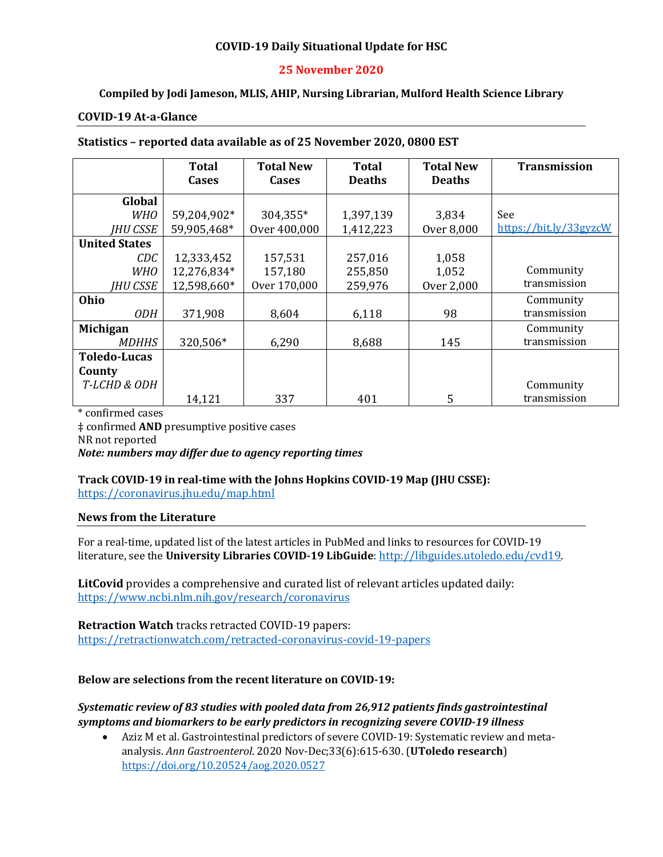### **COVID-19 Daily Situational Update for HSC**

### **25 November 2020**

### **Compiled by Jodi Jameson, MLIS, AHIP, Nursing Librarian, Mulford Health Science Library**

#### **COVID-19 At-a-Glance**

#### **Statistics – reported data available as of 25 November 2020, 0800 EST**

|                      | <b>Total</b><br>Cases | <b>Total New</b><br><b>Cases</b> | <b>Total</b><br><b>Deaths</b> | <b>Total New</b><br><b>Deaths</b> | <b>Transmission</b>    |
|----------------------|-----------------------|----------------------------------|-------------------------------|-----------------------------------|------------------------|
| Global               |                       |                                  |                               |                                   |                        |
| <b>WHO</b>           | 59,204,902*           | 304,355*                         | 1,397,139                     | 3,834                             | See                    |
| <b>IHU CSSE</b>      | 59,905,468*           | Over 400,000                     | 1,412,223                     | Over 8,000                        | https://bit.ly/33gyzcW |
| <b>United States</b> |                       |                                  |                               |                                   |                        |
| CDC                  | 12,333,452            | 157,531                          | 257,016                       | 1,058                             |                        |
| <b>WHO</b>           | 12,276,834*           | 157,180                          | 255,850                       | 1,052                             | Community              |
| <b>IHU CSSE</b>      | 12,598,660*           | Over 170,000                     | 259,976                       | Over 2,000                        | transmission           |
| Ohio                 |                       |                                  |                               |                                   | Community              |
| <i>ODH</i>           | 371,908               | 8,604                            | 6,118                         | 98                                | transmission           |
| Michigan             |                       |                                  |                               |                                   | Community              |
| <b>MDHHS</b>         | 320,506*              | 6,290                            | 8,688                         | 145                               | transmission           |
| <b>Toledo-Lucas</b>  |                       |                                  |                               |                                   |                        |
| County               |                       |                                  |                               |                                   |                        |
| T-LCHD & ODH         |                       |                                  |                               |                                   | Community              |
|                      | 14,121                | 337                              | 401                           | 5                                 | transmission           |

\* confirmed cases ‡ confirmed **AND** presumptive positive cases NR not reported *Note: numbers may differ due to agency reporting times* 

# **Track COVID-19 in real-time with the Johns Hopkins COVID-19 Map (JHU CSSE):**

<https://coronavirus.jhu.edu/map.html>

#### **News from the Literature**

For a real-time, updated list of the latest articles in PubMed and links to resources for COVID-19 literature, see the **University Libraries COVID-19 LibGuide**[: http://libguides.utoledo.edu/cvd19.](http://libguides.utoledo.edu/cvd19) 

**LitCovid** provides a comprehensive and curated list of relevant articles updated daily: <https://www.ncbi.nlm.nih.gov/research/coronavirus>

**Retraction Watch** tracks retracted COVID-19 papers: [https://retractionwatch.com/retracted-coronavirus-covid-19-papers](https://retractionwatch.com/retracted-coronavirus-covid-19-papers/)

#### **Below are selections from the recent literature on COVID-19:**

### *Systematic review of 83 studies with pooled data from 26,912 patients finds gastrointestinal symptoms and biomarkers to be early predictors in recognizing severe COVID-19 illness*

• Aziz M et al. Gastrointestinal predictors of severe COVID-19: Systematic review and metaanalysis. *Ann Gastroenterol*. 2020 Nov-Dec;33(6):615-630. (**UToledo research**) <https://doi.org/10.20524/aog.2020.0527>